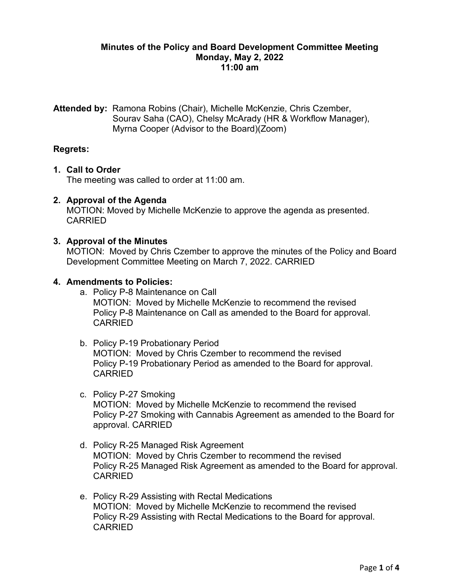#### **Minutes of the Policy and Board Development Committee Meeting Monday, May 2, 2022 11:00 am**

**Attended by:** Ramona Robins (Chair), Michelle McKenzie, Chris Czember, Sourav Saha (CAO), Chelsy McArady (HR & Workflow Manager), Myrna Cooper (Advisor to the Board)(Zoom)

# **Regrets:**

### **1. Call to Order**

The meeting was called to order at 11:00 am.

# **2. Approval of the Agenda**

MOTION: Moved by Michelle McKenzie to approve the agenda as presented. CARRIED

### **3. Approval of the Minutes**

MOTION: Moved by Chris Czember to approve the minutes of the Policy and Board Development Committee Meeting on March 7, 2022. CARRIED

#### **4. Amendments to Policies:**

- a. Policy P-8 Maintenance on Call MOTION: Moved by Michelle McKenzie to recommend the revised Policy P-8 Maintenance on Call as amended to the Board for approval. CARRIED
- b. Policy P-19 Probationary Period MOTION: Moved by Chris Czember to recommend the revised Policy P-19 Probationary Period as amended to the Board for approval. CARRIED
- c. Policy P-27 Smoking MOTION: Moved by Michelle McKenzie to recommend the revised Policy P-27 Smoking with Cannabis Agreement as amended to the Board for approval. CARRIED
- d. Policy R-25 Managed Risk Agreement MOTION: Moved by Chris Czember to recommend the revised Policy R-25 Managed Risk Agreement as amended to the Board for approval. CARRIED
- e. Policy R-29 Assisting with Rectal Medications MOTION: Moved by Michelle McKenzie to recommend the revised Policy R-29 Assisting with Rectal Medications to the Board for approval. CARRIED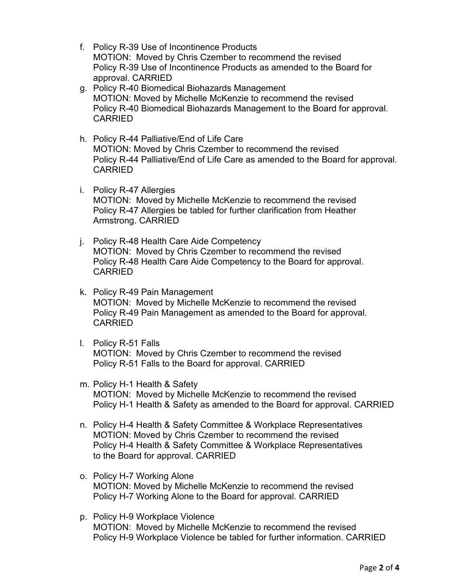- f. Policy R-39 Use of Incontinence Products MOTION: Moved by Chris Czember to recommend the revised Policy R-39 Use of Incontinence Products as amended to the Board for approval. CARRIED
- g. Policy R-40 Biomedical Biohazards Management MOTION: Moved by Michelle McKenzie to recommend the revised Policy R-40 Biomedical Biohazards Management to the Board for approval. CARRIED
- h. Policy R-44 Palliative/End of Life Care MOTION: Moved by Chris Czember to recommend the revised Policy R-44 Palliative/End of Life Care as amended to the Board for approval. CARRIED
- i. Policy R-47 Allergies MOTION: Moved by Michelle McKenzie to recommend the revised Policy R-47 Allergies be tabled for further clarification from Heather Armstrong. CARRIED
- j. Policy R-48 Health Care Aide Competency MOTION: Moved by Chris Czember to recommend the revised Policy R-48 Health Care Aide Competency to the Board for approval. CARRIED
- k. Policy R-49 Pain Management MOTION: Moved by Michelle McKenzie to recommend the revised Policy R-49 Pain Management as amended to the Board for approval. CARRIED
- l. Policy R-51 Falls MOTION: Moved by Chris Czember to recommend the revised Policy R-51 Falls to the Board for approval. CARRIED
- m. Policy H-1 Health & Safety MOTION: Moved by Michelle McKenzie to recommend the revised Policy H-1 Health & Safety as amended to the Board for approval. CARRIED
- n. Policy H-4 Health & Safety Committee & Workplace Representatives MOTION: Moved by Chris Czember to recommend the revised Policy H-4 Health & Safety Committee & Workplace Representatives to the Board for approval. CARRIED
- o. Policy H-7 Working Alone MOTION: Moved by Michelle McKenzie to recommend the revised Policy H-7 Working Alone to the Board for approval. CARRIED
- p. Policy H-9 Workplace Violence MOTION: Moved by Michelle McKenzie to recommend the revised Policy H-9 Workplace Violence be tabled for further information. CARRIED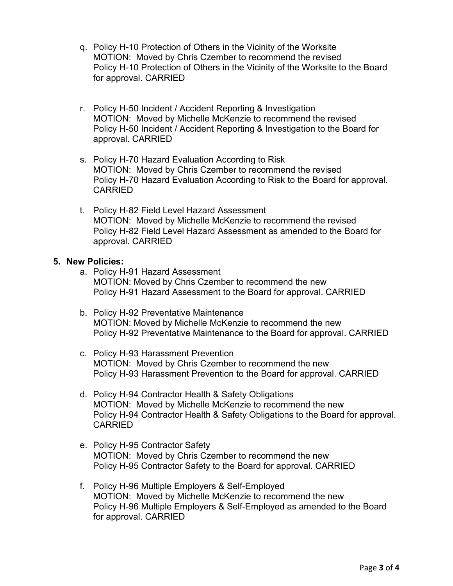- q. Policy H-10 Protection of Others in the Vicinity of the Worksite MOTION: Moved by Chris Czember to recommend the revised Policy H-10 Protection of Others in the Vicinity of the Worksite to the Board for approval. CARRIED
- r. Policy H-50 Incident / Accident Reporting & Investigation MOTION: Moved by Michelle McKenzie to recommend the revised Policy H-50 Incident / Accident Reporting & Investigation to the Board for approval. CARRIED
- s. Policy H-70 Hazard Evaluation According to Risk MOTION: Moved by Chris Czember to recommend the revised Policy H-70 Hazard Evaluation According to Risk to the Board for approval. CARRIED
- t. Policy H-82 Field Level Hazard Assessment MOTION: Moved by Michelle McKenzie to recommend the revised Policy H-82 Field Level Hazard Assessment as amended to the Board for approval. CARRIED

### **5. New Policies:**

- a. Policy H-91 Hazard Assessment MOTION: Moved by Chris Czember to recommend the new Policy H-91 Hazard Assessment to the Board for approval. CARRIED
- b. Policy H-92 Preventative Maintenance MOTION: Moved by Michelle McKenzie to recommend the new Policy H-92 Preventative Maintenance to the Board for approval. CARRIED
- c. Policy H-93 Harassment Prevention MOTION: Moved by Chris Czember to recommend the new Policy H-93 Harassment Prevention to the Board for approval. CARRIED
- d. Policy H-94 Contractor Health & Safety Obligations MOTION: Moved by Michelle McKenzie to recommend the new Policy H-94 Contractor Health & Safety Obligations to the Board for approval. CARRIED
- e. Policy H-95 Contractor Safety MOTION: Moved by Chris Czember to recommend the new Policy H-95 Contractor Safety to the Board for approval. CARRIED
- f. Policy H-96 Multiple Employers & Self-Employed MOTION: Moved by Michelle McKenzie to recommend the new Policy H-96 Multiple Employers & Self-Employed as amended to the Board for approval. CARRIED